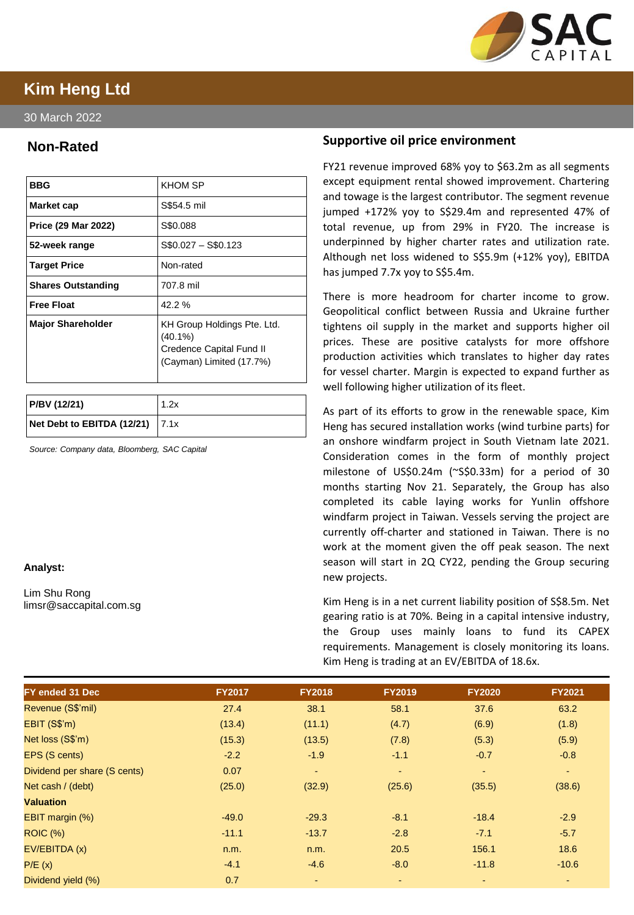

# **Kim Heng Ltd**

30 March 2022

## **Non-Rated**

| <b>BBG</b>                | <b>KHOM SP</b>                                                                                    |
|---------------------------|---------------------------------------------------------------------------------------------------|
| Market cap                | S\$54.5 mil                                                                                       |
| Price (29 Mar 2022)       | S\$0.088                                                                                          |
| 52-week range             | $$0.027 - $0.123$                                                                                 |
| <b>Target Price</b>       | Non-rated                                                                                         |
| <b>Shares Outstanding</b> | 707.8 mil                                                                                         |
| <b>Free Float</b>         | $42.2 \%$                                                                                         |
| <b>Major Shareholder</b>  | KH Group Holdings Pte. Ltd.<br>$(40.1\%)$<br>Credence Capital Fund II<br>(Cayman) Limited (17.7%) |

| P/BV (12/21)                        | 1.2x |
|-------------------------------------|------|
| Net Debt to EBITDA (12/21) $ 7.1x $ |      |

*Source: Company data, Bloomberg, SAC Capital*

### **Analyst:**

Lim Shu Rong limsr@saccapital.com.sg

### **Supportive oil price environment**

FY21 revenue improved 68% yoy to \$63.2m as all segments except equipment rental showed improvement. Chartering and towage is the largest contributor. The segment revenue jumped +172% yoy to S\$29.4m and represented 47% of total revenue, up from 29% in FY20. The increase is underpinned by higher charter rates and utilization rate. Although net loss widened to S\$5.9m (+12% yoy), EBITDA has jumped 7.7x yoy to S\$5.4m.

There is more headroom for charter income to grow. Geopolitical conflict between Russia and Ukraine further tightens oil supply in the market and supports higher oil prices. These are positive catalysts for more offshore production activities which translates to higher day rates for vessel charter. Margin is expected to expand further as well following higher utilization of its fleet.

As part of its efforts to grow in the renewable space, Kim Heng has secured installation works (wind turbine parts) for an onshore windfarm project in South Vietnam late 2021. Consideration comes in the form of monthly project milestone of US\$0.24m (~S\$0.33m) for a period of 30 months starting Nov 21. Separately, the Group has also completed its cable laying works for Yunlin offshore windfarm project in Taiwan. Vessels serving the project are currently off-charter and stationed in Taiwan. There is no work at the moment given the off peak season. The next season will start in 2Q CY22, pending the Group securing new projects.

Kim Heng is in a net current liability position of S\$8.5m. Net gearing ratio is at 70%. Being in a capital intensive industry, the Group uses mainly loans to fund its CAPEX requirements. Management is closely monitoring its loans. Kim Heng is trading at an EV/EBITDA of 18.6x.

| <b>FY ended 31 Dec</b>       | <b>FY2017</b> | <b>FY2018</b> | <b>FY2019</b> | <b>FY2020</b>            | <b>FY2021</b> |
|------------------------------|---------------|---------------|---------------|--------------------------|---------------|
| Revenue (S\$'mil)            | 27.4          | 38.1          | 58.1          | 37.6                     | 63.2          |
| EBIT (S\$'m)                 | (13.4)        | (11.1)        | (4.7)         | (6.9)                    | (1.8)         |
| Net loss (S\$'m)             | (15.3)        | (13.5)        | (7.8)         | (5.3)                    | (5.9)         |
| EPS (S cents)                | $-2.2$        | $-1.9$        | $-1.1$        | $-0.7$                   | $-0.8$        |
| Dividend per share (S cents) | 0.07          | $\sim$        | $\sim$        | $\sim$                   | $\sim$        |
| Net cash / (debt)            | (25.0)        | (32.9)        | (25.6)        | (35.5)                   | (38.6)        |
| <b>Valuation</b>             |               |               |               |                          |               |
| EBIT margin (%)              | $-49.0$       | $-29.3$       | $-8.1$        | $-18.4$                  | $-2.9$        |
| <b>ROIC (%)</b>              | $-11.1$       | $-13.7$       | $-2.8$        | $-7.1$                   | $-5.7$        |
| EV/EBITDA (x)                | n.m.          | n.m.          | 20.5          | 156.1                    | 18.6          |
| P/E(x)                       | $-4.1$        | $-4.6$        | $-8.0$        | $-11.8$                  | $-10.6$       |
| Dividend yield (%)           | 0.7           |               |               | $\overline{\phantom{a}}$ |               |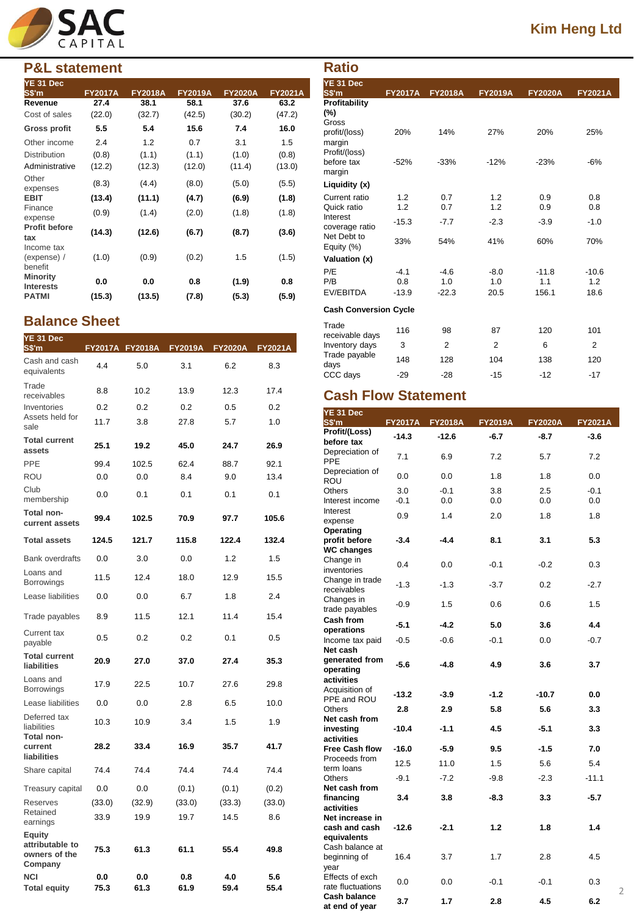

## **P&L statement**

| YE 31 Dec                            |                |                |                |                |                |
|--------------------------------------|----------------|----------------|----------------|----------------|----------------|
| S\$'m                                | <b>FY2017A</b> | <b>FY2018A</b> | <b>FY2019A</b> | <b>FY2020A</b> | <b>FY2021A</b> |
| Revenue                              | 27.4           | 38.1           | 58.1           | 37.6           | 63.2           |
| Cost of sales                        | (22.0)         | (32.7)         | (42.5)         | (30.2)         | (47.2)         |
| Gross profit                         | 5.5            | 5.4            | 15.6           | 7.4            | 16.0           |
| Other income                         | 2.4            | 1.2            | 0.7            | 3.1            | 1.5            |
| <b>Distribution</b>                  | (0.8)          | (1.1)          | (1.1)          | (1.0)          | (0.8)          |
| Administrative                       | (12.2)         | (12.3)         | (12.0)         | (11.4)         | (13.0)         |
| Other<br>expenses                    | (8.3)          | (4.4)          | (8.0)          | (5.0)          | (5.5)          |
| <b>EBIT</b>                          | (13.4)         | (11.1)         | (4.7)          | (6.9)          | (1.8)          |
| Finance<br>expense                   | (0.9)          | (1.4)          | (2.0)          | (1.8)          | (1.8)          |
| <b>Profit before</b><br>tax          | (14.3)         | (12.6)         | (6.7)          | (8.7)          | (3.6)          |
| Income tax<br>(expense) /<br>benefit | (1.0)          | (0.9)          | (0.2)          | 1.5            | (1.5)          |
| <b>Minority</b><br><b>Interests</b>  | 0.0            | 0.0            | 0.8            | (1.9)          | 0.8            |
| <b>PATMI</b>                         | (15.3)         | (13.5)         | (7.8)          | (5.3)          | (5.9)          |

## **Balance Sheet**

| YE 31 Dec<br>S\$'m                                    |             |             | FY2017A FY2018A FY2019A FY2020A FY2021A |             |             |
|-------------------------------------------------------|-------------|-------------|-----------------------------------------|-------------|-------------|
| Cash and cash<br>equivalents                          | 4.4         | 5.0         | 3.1                                     | 6.2         | 8.3         |
| Trade<br>receivables                                  | 8.8         | 10.2        | 13.9                                    | 12.3        | 17.4        |
| Inventories                                           | 0.2         | 0.2         | 0.2                                     | 0.5         | 0.2         |
| Assets held for<br>sale                               | 11.7        | 3.8         | 27.8                                    | 5.7         | 1.0         |
| <b>Total current</b><br>assets                        | 25.1        | 19.2        | 45.0                                    | 24.7        | 26.9        |
| PPE                                                   | 99.4        | 102.5       | 62.4                                    | 88.7        | 92.1        |
| ROU                                                   | 0.0         | 0.0         | 8.4                                     | 9.0         | 13.4        |
| Club<br>membership                                    | 0.0         | 0.1         | 0.1                                     | 0.1         | 0.1         |
| Total non-<br>current assets                          | 99.4        | 102.5       | 70.9                                    | 97.7        | 105.6       |
| <b>Total assets</b>                                   | 124.5       | 121.7       | 115.8                                   | 122.4       | 132.4       |
| <b>Bank overdrafts</b>                                | 0.0         | 3.0         | 0.0                                     | 1.2         | 1.5         |
| Loans and<br><b>Borrowings</b>                        | 11.5        | 12.4        | 18.0                                    | 12.9        | 15.5        |
| Lease liabilities                                     | 0.0         | 0.0         | 6.7                                     | 1.8         | 2.4         |
| Trade payables                                        | 8.9         | 11.5        | 12.1                                    | 11.4        | 15.4        |
| Current tax<br>payable                                | 0.5         | 0.2         | 0.2                                     | 0.1         | 0.5         |
| <b>Total current</b><br>liabilities                   | 20.9        | 27.0        | 37.0                                    | 27.4        | 35.3        |
| Loans and<br>Borrowings                               | 17.9        | 22.5        | 10.7                                    | 27.6        | 29.8        |
| Lease liabilities                                     | 0.0         | 0.0         | 2.8                                     | 6.5         | 10.0        |
| Deferred tax<br>liabilities                           | 10.3        | 10.9        | 3.4                                     | 1.5         | 1.9         |
| Total non-<br>current<br>liabilities                  | 28.2        | 33.4        | 16.9                                    | 35.7        | 41.7        |
| Share capital                                         | 74.4        | 74.4        | 74.4                                    | 74.4        | 74.4        |
| Treasury capital                                      | 0.0         | 0.0         | (0.1)                                   | (0.1)       | (0.2)       |
| Reserves                                              | (33.0)      | (32.9)      | (33.0)                                  | (33.3)      | (33.0)      |
| Retained<br>earnings                                  | 33.9        | 19.9        | 19.7                                    | 14.5        | 8.6         |
| Equity<br>attributable to<br>owners of the<br>Company | 75.3        | 61.3        | 61.1                                    | 55.4        | 49.8        |
| NCI<br><b>Total equity</b>                            | 0.0<br>75.3 | 0.0<br>61.3 | 0.8<br>61.9                             | 4.0<br>59.4 | 5.6<br>55.4 |

| <b>Ratio</b>                              |                |                |                |                |                |
|-------------------------------------------|----------------|----------------|----------------|----------------|----------------|
| YE 31 Dec<br>S\$'m                        | <b>FY2017A</b> | <b>FY2018A</b> | <b>FY2019A</b> | <b>FY2020A</b> | <b>FY2021A</b> |
| Profitability<br>(%)<br>Gross             |                |                |                |                |                |
| profit/(loss)<br>margin<br>Profit/(loss)  | 20%            | 14%            | 27%            | 20%            | 25%            |
| before tax<br>margin                      | $-52%$         | $-33%$         | $-12%$         | $-23%$         | $-6%$          |
| Liquidity (x)                             |                |                |                |                |                |
| Current ratio                             | 1.2            | 0.7            | 1.2            | 0.9            | 0.8            |
| Quick ratio                               | 1.2            | 0.7            | 1.2            | 0.9            | 0.8            |
| Interest<br>coverage ratio<br>Net Debt to | $-15.3$        | $-7.7$         | $-2.3$         | $-3.9$         | $-1.0$         |
| Equity (%)                                | 33%            | 54%            | 41%            | 60%            | 70%            |
| Valuation (x)                             |                |                |                |                |                |
| P/E                                       | $-4.1$         | $-4.6$         | $-8.0$         | $-11.8$        | $-10.6$        |
| P/B<br>EV/EBITDA                          | 0.8<br>$-13.9$ | 1.0<br>$-22.3$ | 1.0<br>20.5    | 1.1<br>156.1   | 1.2<br>18.6    |
|                                           |                |                |                |                |                |
| <b>Cash Conversion Cycle</b>              |                |                |                |                |                |
| Trade<br>receivable days                  | 116            | 98             | 87             | 120            | 101            |
| Inventory days                            | 3              | $\overline{2}$ | $\overline{2}$ | 6              | $\overline{2}$ |
| Trade payable<br>days                     | 148            | 128            | 104            | 138            | 120            |
| CCC days                                  | $-29$          | $-28$          | $-15$          | $-12$          | $-17$          |

# **Cash Flow Statement**

| YE 31 Dec                                       |         |                 |                |                |                       |
|-------------------------------------------------|---------|-----------------|----------------|----------------|-----------------------|
| S\$'m                                           |         | FY2017A FY2018A | <b>FY2019A</b> | <b>FY2020A</b> | <b>FY2021A</b>        |
| Profit/(Loss)<br>before tax                     | $-14.3$ | $-12.6$         | $-6.7$         | $-8.7$         | $-3.6$                |
| Depreciation of<br>PPE                          | 7.1     | 6.9             | 7.2            | 5.7            | 7.2                   |
| Depreciation of<br><b>ROU</b>                   | 0.0     | 0.0             | 1.8            | 1.8            | 0.0                   |
| <b>Others</b>                                   | 3.0     | $-0.1$          | 3.8            | 2.5            | $-0.1$                |
| Interest income                                 | $-0.1$  | 0.0             | 0.0            | 0.0            | 0.0                   |
| Interest<br>expense                             | 0.9     | 1.4             | 2.0            | 1.8            | 1.8                   |
| Operating<br>profit before<br><b>WC changes</b> | $-3.4$  | $-4.4$          | 8.1            | 3.1            | 5.3                   |
| Change in<br>inventories                        | 0.4     | 0.0             | $-0.1$         | $-0.2$         | 0.3                   |
| Change in trade<br>receivables                  | $-1.3$  | $-1.3$          | $-3.7$         | 0.2            | $-2.7$                |
| Changes in<br>trade payables                    | $-0.9$  | 1.5             | 0.6            | 0.6            | 1.5                   |
| <b>Cash from</b><br>operations                  | $-5.1$  | $-4.2$          | 5.0            | 3.6            | 4.4                   |
| Income tax paid<br>Net cash                     | $-0.5$  | $-0.6$          | $-0.1$         | 0.0            | $-0.7$                |
| generated from<br>operating<br>activities       | $-5.6$  | $-4.8$          | 4.9            | 3.6            | 3.7                   |
| Acquisition of<br>PPE and ROU                   | $-13.2$ | $-3.9$          | $-1.2$         | $-10.7$        | 0.0                   |
| <b>Others</b><br>Net cash from                  | 2.8     | 2.9             | 5.8            | 5.6            | 3.3                   |
| investing<br>activities                         | $-10.4$ | $-1.1$          | 4.5            | $-5.1$         | 3.3                   |
| <b>Free Cash flow</b>                           | $-16.0$ | $-5.9$          | 9.5            | $-1.5$         | 7.0                   |
| Proceeds from<br>term loans                     | 12.5    | 11.0            | 1.5            | 5.6            | 5.4                   |
| Others<br>Net cash from                         | $-9.1$  | $-7.2$          | $-9.8$         | $-2.3$         | $-11.1$               |
| financing<br>activities<br>Net increase in      | 3.4     | 3.8             | $-8.3$         | 3.3            | -5.7                  |
| cash and cash<br>equivalents                    | $-12.6$ | $-2.1$          | 1.2            | 1.8            | 1.4                   |
| Cash balance at<br>beginning of<br>year         | 16.4    | 3.7             | 1.7            | 2.8            | 4.5                   |
| Effects of exch<br>rate fluctuations            | 0.0     | 0.0             | $-0.1$         | $-0.1$         | 0.3<br>$\overline{2}$ |
| <b>Cash balance</b><br>at end of year           | 3.7     | 1.7             | 2.8            | 4.5            | 6.2                   |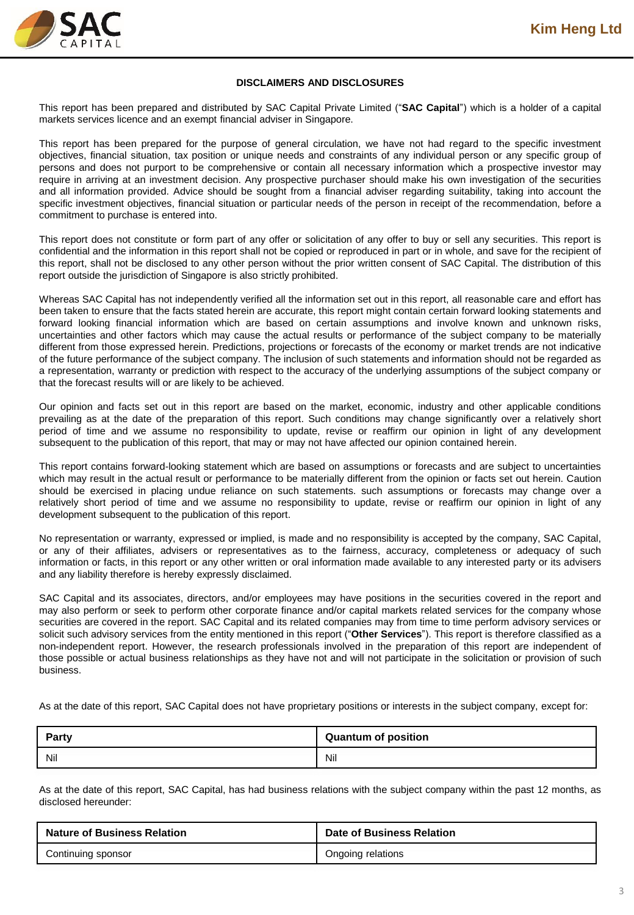

#### **DISCLAIMERS AND DISCLOSURES**

This report has been prepared and distributed by SAC Capital Private Limited ("**SAC Capital**") which is a holder of a capital markets services licence and an exempt financial adviser in Singapore.

This report has been prepared for the purpose of general circulation, we have not had regard to the specific investment objectives, financial situation, tax position or unique needs and constraints of any individual person or any specific group of persons and does not purport to be comprehensive or contain all necessary information which a prospective investor may require in arriving at an investment decision. Any prospective purchaser should make his own investigation of the securities and all information provided. Advice should be sought from a financial adviser regarding suitability, taking into account the specific investment objectives, financial situation or particular needs of the person in receipt of the recommendation, before a commitment to purchase is entered into.

This report does not constitute or form part of any offer or solicitation of any offer to buy or sell any securities. This report is confidential and the information in this report shall not be copied or reproduced in part or in whole, and save for the recipient of this report, shall not be disclosed to any other person without the prior written consent of SAC Capital. The distribution of this report outside the jurisdiction of Singapore is also strictly prohibited.

Whereas SAC Capital has not independently verified all the information set out in this report, all reasonable care and effort has been taken to ensure that the facts stated herein are accurate, this report might contain certain forward looking statements and forward looking financial information which are based on certain assumptions and involve known and unknown risks, uncertainties and other factors which may cause the actual results or performance of the subject company to be materially different from those expressed herein. Predictions, projections or forecasts of the economy or market trends are not indicative of the future performance of the subject company. The inclusion of such statements and information should not be regarded as a representation, warranty or prediction with respect to the accuracy of the underlying assumptions of the subject company or that the forecast results will or are likely to be achieved.

Our opinion and facts set out in this report are based on the market, economic, industry and other applicable conditions prevailing as at the date of the preparation of this report. Such conditions may change significantly over a relatively short period of time and we assume no responsibility to update, revise or reaffirm our opinion in light of any development subsequent to the publication of this report, that may or may not have affected our opinion contained herein.

This report contains forward-looking statement which are based on assumptions or forecasts and are subject to uncertainties which may result in the actual result or performance to be materially different from the opinion or facts set out herein. Caution should be exercised in placing undue reliance on such statements. such assumptions or forecasts may change over a relatively short period of time and we assume no responsibility to update, revise or reaffirm our opinion in light of any development subsequent to the publication of this report.

No representation or warranty, expressed or implied, is made and no responsibility is accepted by the company, SAC Capital, or any of their affiliates, advisers or representatives as to the fairness, accuracy, completeness or adequacy of such information or facts, in this report or any other written or oral information made available to any interested party or its advisers and any liability therefore is hereby expressly disclaimed.

SAC Capital and its associates, directors, and/or employees may have positions in the securities covered in the report and may also perform or seek to perform other corporate finance and/or capital markets related services for the company whose securities are covered in the report. SAC Capital and its related companies may from time to time perform advisory services or solicit such advisory services from the entity mentioned in this report ("**Other Services**"). This report is therefore classified as a non-independent report. However, the research professionals involved in the preparation of this report are independent of those possible or actual business relationships as they have not and will not participate in the solicitation or provision of such business.

As at the date of this report, SAC Capital does not have proprietary positions or interests in the subject company, except for:

| <b>Dorty</b><br><b>raity</b> | <b>Quantum of position</b> |
|------------------------------|----------------------------|
| Nil                          | Nil                        |

As at the date of this report, SAC Capital, has had business relations with the subject company within the past 12 months, as disclosed hereunder:

| <b>Nature of Business Relation</b> | Date of Business Relation |
|------------------------------------|---------------------------|
| Continuing sponsor                 | Ongoing relations         |